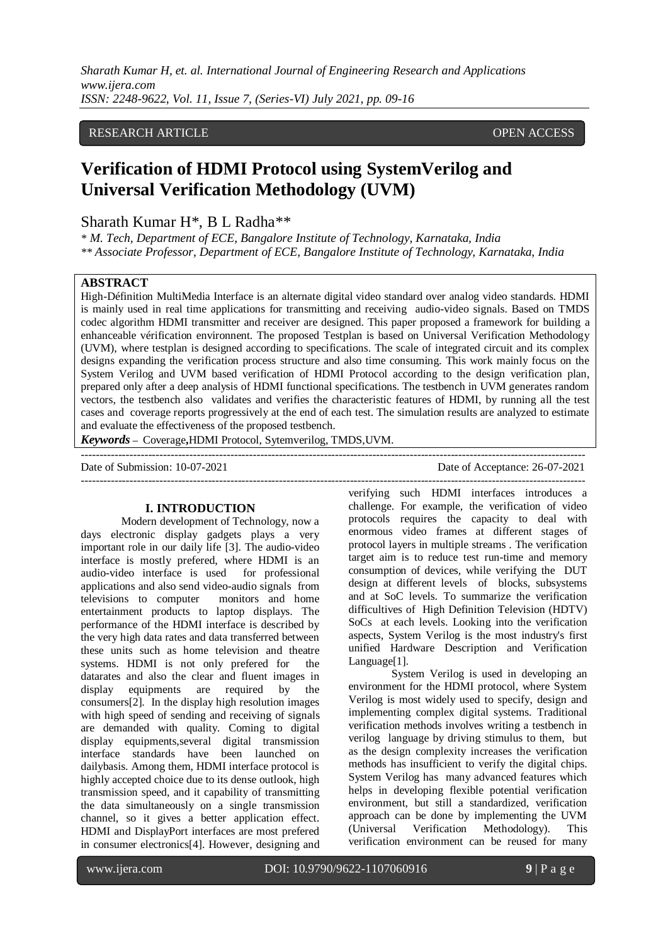## RESEARCH ARTICLE **CONSERVERS** OPEN ACCESS

# **Verification of HDMI Protocol using SystemVerilog and Universal Verification Methodology (UVM)**

Sharath Kumar H\*, B L Radha\*\*

*\* M. Tech, Department of ECE, Bangalore Institute of Technology, Karnataka, India \*\* Associate Professor, Department of ECE, Bangalore Institute of Technology, Karnataka, India*

#### **ABSTRACT**

High-Définition MultiMedia Interface is an alternate digital video standard over analog video standards. HDMI is mainly used in real time applications for transmitting and receiving audio-video signals. Based on TMDS codec algorithm HDMI transmitter and receiver are designed. This paper proposed a framework for building a enhanceable vérification environnent. The proposed Testplan is based on Universal Verification Methodology (UVM), where testplan is designed according to specifications. The scale of integrated circuit and its complex designs expanding the verification process structure and also time consuming. This work mainly focus on the System Verilog and UVM based verification of HDMI Protocol according to the design verification plan, prepared only after a deep analysis of HDMI functional specifications. The testbench in UVM generates random vectors, the testbench also validates and verifies the characteristic features of HDMI, by running all the test cases and coverage reports progressively at the end of each test. The simulation results are analyzed to estimate and evaluate the effectiveness of the proposed testbench.

---------------------------------------------------------------------------------------------------------------------------------------

*Keywords* **–** Coverage**,**HDMI Protocol, Sytemverilog, TMDS,UVM.

---------------------------------------------------------------------------------------------------------------------------------------

Date of Submission: 10-07-2021 Date of Acceptance: 26-07-2021

# **I. INTRODUCTION**

 Modern development of Technology, now a days electronic display gadgets plays a very important role in our daily life [3]. The audio-video interface is mostly prefered, where HDMI is an audio-video interface is used for professional applications and also send video-audio signals from televisions to computer monitors and home entertainment products to laptop displays. The performance of the HDMI interface is described by the very high data rates and data transferred between these units such as home television and theatre systems. HDMI is not only prefered for the datarates and also the clear and fluent images in display equipments are required by the consumers[2]. In the display high resolution images with high speed of sending and receiving of signals are demanded with quality. Coming to digital display equipments,several digital transmission interface standards have been launched on dailybasis. Among them, HDMI interface protocol is highly accepted choice due to its dense outlook, high transmission speed, and it capability of transmitting the data simultaneously on a single transmission channel, so it gives a better application effect. HDMI and DisplayPort interfaces are most prefered in consumer electronics[4]. However, designing and

verifying such HDMI interfaces introduces a challenge. For example, the verification of video protocols requires the capacity to deal with enormous video frames at different stages of protocol layers in multiple streams . The verification target aim is to reduce test run-time and memory consumption of devices, while verifying the DUT design at different levels of blocks, subsystems and at SoC levels. To summarize the verification difficultives of High Definition Television (HDTV) SoCs at each levels. Looking into the verification aspects, System Verilog is the most industry's first unified Hardware Description and Verification Language[1].

 System Verilog is used in developing an environment for the HDMI protocol, where System Verilog is most widely used to specify, design and implementing complex digital systems. Traditional verification methods involves writing a testbench in verilog language by driving stimulus to them, but as the design complexity increases the verification methods has insufficient to verify the digital chips. System Verilog has many advanced features which helps in developing flexible potential verification environment, but still a standardized, verification approach can be done by implementing the UVM (Universal Verification Methodology). This verification environment can be reused for many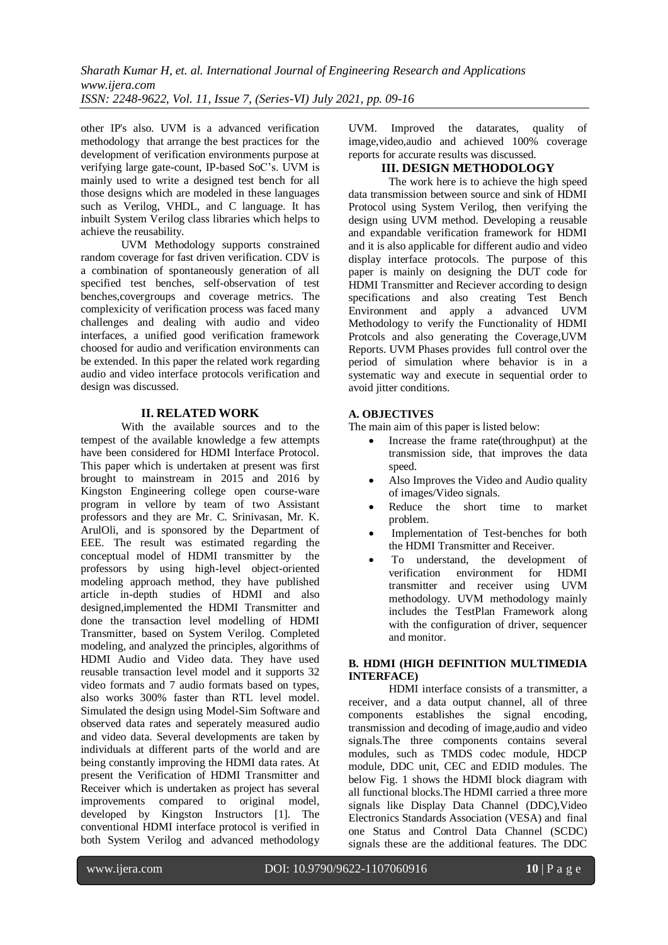other IP's also. UVM is a advanced verification methodology that arrange the best practices for the development of verification environments purpose at verifying large gate-count, IP-based SoC's. UVM is mainly used to write a designed test bench for all those designs which are modeled in these languages such as Verilog, VHDL, and C language. It has inbuilt System Verilog class libraries which helps to achieve the reusability.

 UVM Methodology supports constrained random coverage for fast driven verification. CDV is a combination of spontaneously generation of all specified test benches, self-observation of test benches,covergroups and coverage metrics. The complexicity of verification process was faced many challenges and dealing with audio and video interfaces, a unified good verification framework choosed for audio and verification environments can be extended. In this paper the related work regarding audio and video interface protocols verification and design was discussed.

### **II. RELATED WORK**

 With the available sources and to the tempest of the available knowledge a few attempts have been considered for HDMI Interface Protocol. This paper which is undertaken at present was first brought to mainstream in 2015 and 2016 by Kingston Engineering college open course-ware program in vellore by team of two Assistant professors and they are Mr. C. Srinivasan, Mr. K. ArulOli, and is sponsored by the Department of EEE. The result was estimated regarding the conceptual model of HDMI transmitter by the professors by using high-level object-oriented modeling approach method, they have published article in-depth studies of HDMI and also designed,implemented the HDMI Transmitter and done the transaction level modelling of HDMI Transmitter, based on System Verilog. Completed modeling, and analyzed the principles, algorithms of HDMI Audio and Video data. They have used reusable transaction level model and it supports 32 video formats and 7 audio formats based on types, also works 300% faster than RTL level model. Simulated the design using Model-Sim Software and observed data rates and seperately measured audio and video data. Several developments are taken by individuals at different parts of the world and are being constantly improving the HDMI data rates. At present the Verification of HDMI Transmitter and Receiver which is undertaken as project has several improvements compared to original model, developed by Kingston Instructors [1]. The conventional HDMI interface protocol is verified in both System Verilog and advanced methodology

UVM. Improved the datarates, quality of image,video,audio and achieved 100% coverage reports for accurate results was discussed.

## **III. DESIGN METHODOLOGY**

 The work here is to achieve the high speed data transmission between source and sink of HDMI Protocol using System Verilog, then verifying the design using UVM method. Developing a reusable and expandable verification framework for HDMI and it is also applicable for different audio and video display interface protocols. The purpose of this paper is mainly on designing the DUT code for HDMI Transmitter and Reciever according to design specifications and also creating Test Bench Environment and apply a advanced UVM Methodology to verify the Functionality of HDMI Protcols and also generating the Coverage,UVM Reports. UVM Phases provides full control over the period of simulation where behavior is in a systematic way and execute in sequential order to avoid jitter conditions.

# **A. OBJECTIVES**

The main aim of this paper is listed below:

- Increase the frame rate(throughput) at the transmission side, that improves the data speed.
- Also Improves the Video and Audio quality of images/Video signals.
- Reduce the short time to market problem.
- Implementation of Test-benches for both the HDMI Transmitter and Receiver.
- To understand, the development of verification environment for HDMI transmitter and receiver using UVM methodology. UVM methodology mainly includes the TestPlan Framework along with the configuration of driver, sequencer and monitor.

#### **B. HDMI (HIGH DEFINITION MULTIMEDIA INTERFACE)**

 HDMI interface consists of a transmitter, a receiver, and a data output channel, all of three components establishes the signal encoding, transmission and decoding of image,audio and video signals.The three components contains several modules, such as TMDS codec module, HDCP module, DDC unit, CEC and EDID modules. The below Fig. 1 shows the HDMI block diagram with all functional blocks.The HDMI carried a three more signals like Display Data Channel (DDC),Video Electronics Standards Association (VESA) and final one Status and Control Data Channel (SCDC) signals these are the additional features. The DDC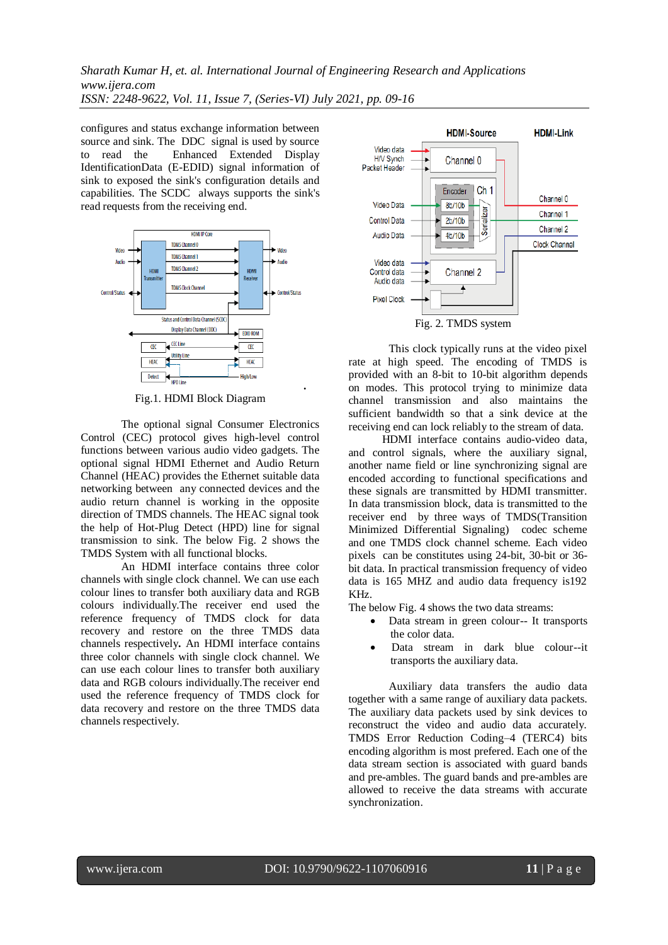configures and status exchange information between source and sink. The DDC signal is used by source to read the Enhanced Extended Display IdentificationData (E-EDID) signal information of sink to exposed the sink's configuration details and capabilities. The SCDC always supports the sink's read requests from the receiving end.



Fig.1. HDMI Block Diagram

The optional signal Consumer Electronics Control (CEC) protocol gives high-level control functions between various audio video gadgets. The optional signal HDMI Ethernet and Audio Return Channel (HEAC) provides the Ethernet suitable data networking between any connected devices and the audio return channel is working in the opposite direction of TMDS channels. The HEAC signal took the help of Hot-Plug Detect (HPD) line for signal transmission to sink. The below Fig. 2 shows the TMDS System with all functional blocks.

An HDMI interface contains three color channels with single clock channel. We can use each colour lines to transfer both auxiliary data and RGB colours individually.The receiver end used the reference frequency of TMDS clock for data recovery and restore on the three TMDS data channels respectively**.** An HDMI interface contains three color channels with single clock channel. We can use each colour lines to transfer both auxiliary data and RGB colours individually.The receiver end used the reference frequency of TMDS clock for data recovery and restore on the three TMDS data channels respectively.



 This clock typically runs at the video pixel rate at high speed. The encoding of TMDS is provided with an 8-bit to 10-bit algorithm depends on modes. This protocol trying to minimize data channel transmission and also maintains the sufficient bandwidth so that a sink device at the receiving end can lock reliably to the stream of data.

HDMI interface contains audio-video data, and control signals, where the auxiliary signal, another name field or line synchronizing signal are encoded according to functional specifications and these signals are transmitted by HDMI transmitter. In data transmission block, data is transmitted to the receiver end by three ways of TMDS(Transition Minimized Differential Signaling) codec scheme and one TMDS clock channel scheme. Each video pixels can be constitutes using 24-bit, 30-bit or 36 bit data. In practical transmission frequency of video data is 165 MHZ and audio data frequency is192 KHz.

The below Fig. 4 shows the two data streams:

- Data stream in green colour-- It transports the color data.
- Data stream in dark blue colour--it transports the auxiliary data.

 Auxiliary data transfers the audio data together with a same range of auxiliary data packets. The auxiliary data packets used by sink devices to reconstruct the video and audio data accurately. TMDS Error Reduction Coding–4 (TERC4) bits encoding algorithm is most prefered. Each one of the data stream section is associated with guard bands and pre-ambles. The guard bands and pre-ambles are allowed to receive the data streams with accurate synchronization.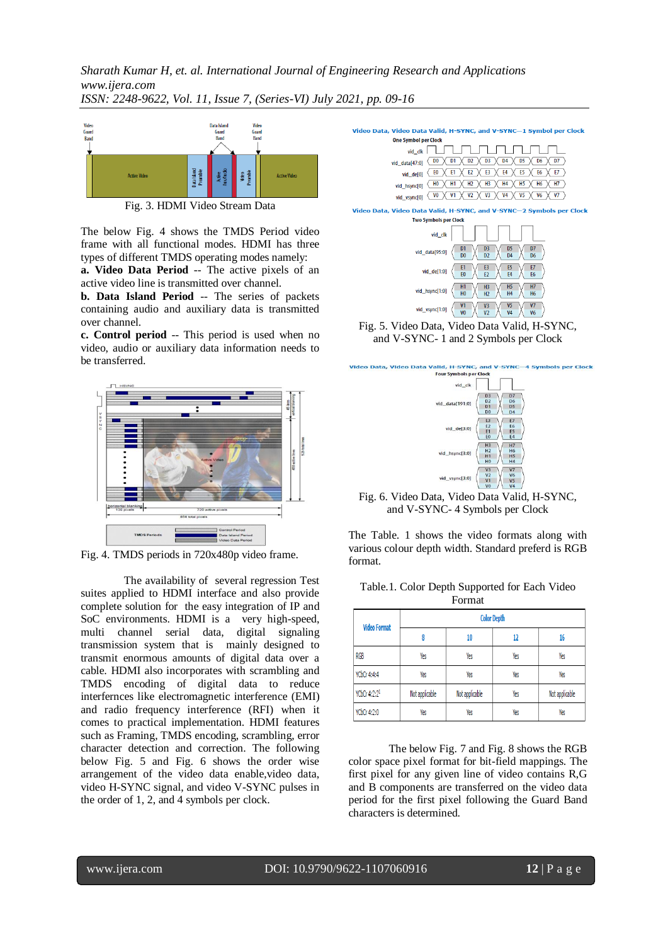

Fig. 3. HDMI Video Stream Data

The below Fig. 4 shows the TMDS Period video frame with all functional modes. HDMI has three types of different TMDS operating modes namely:

**a. Video Data Period** -- The active pixels of an active video line is transmitted over channel.

**b. Data Island Period** -- The series of packets containing audio and auxiliary data is transmitted over channel.

**c. Control period** -- This period is used when no video, audio or auxiliary data information needs to be transferred.



Fig. 4. TMDS periods in 720x480p video frame.

The availability of several regression Test suites applied to HDMI interface and also provide complete solution for the easy integration of IP and SoC environments. HDMI is a very high-speed, multi channel serial data, digital signaling transmission system that is mainly designed to transmit enormous amounts of digital data over a cable. HDMI also incorporates with scrambling and TMDS encoding of digital data to reduce interfernces like electromagnetic interference (EMI) and radio frequency interference (RFI) when it comes to practical implementation. HDMI features such as Framing, TMDS encoding, scrambling, error character detection and correction. The following below Fig. 5 and Fig. 6 shows the order wise arrangement of the video data enable,video data, video H-SYNC signal, and video V-SYNC pulses in the order of 1, 2, and 4 symbols per clock.



Fig. 5. Video Data, Video Data Valid, H-SYNC, and V-SYNC- 1 and 2 Symbols per Clock



Fig. 6. Video Data, Video Data Valid, H-SYNC, and V-SYNC- 4 Symbols per Clock

The Table. 1 shows the video formats along with various colour depth width. Standard preferd is RGB format.

| Table.1. Color Depth Supported for Each Video |  |
|-----------------------------------------------|--|
| Format                                        |  |

| <b>Video Format</b> | <b>Color Depth</b> |                |     |                |
|---------------------|--------------------|----------------|-----|----------------|
|                     | 8                  | 10             | 12  | 16             |
| <b>RGB</b>          | Yes                | Yes            | Yes | Yes            |
| YCbCr 4:4:4         | Yes                | Yes            | Yes | Yes            |
| YCbCr 4:2:21        | Not applicable     | Not applicable | Yes | Not applicable |
| YCbCr 4:2:0         | Yes                | Yes            | Yes | Yes            |

The below Fig. 7 and Fig. 8 shows the RGB color space pixel format for bit-field mappings. The first pixel for any given line of video contains R,G and B components are transferred on the video data period for the first pixel following the Guard Band characters is determined.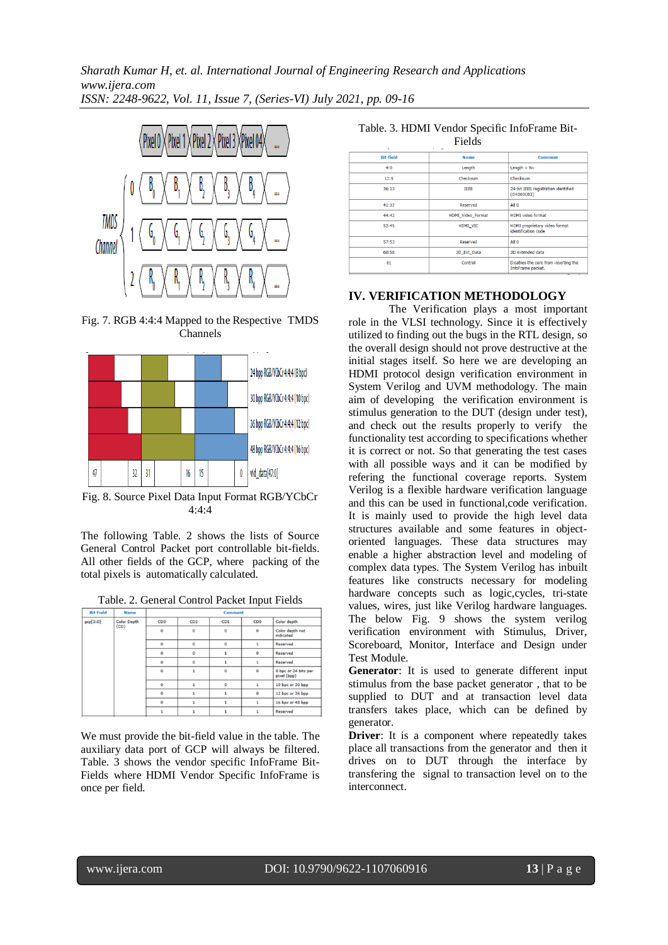

Fig. 7. RGB 4:4:4 Mapped to the Respective TMDS Channels



Fig. 8. Source Pixel Data Input Format RGB/YCbCr 4:4:4

The following Table. 2 shows the lists of Source General Control Packet port controllable bit-fields. All other fields of the GCP, where packing of the total pixels is automatically calculated.

|                                        |                 |                 |                  |              | . .                          |                                     |
|----------------------------------------|-----------------|-----------------|------------------|--------------|------------------------------|-------------------------------------|
| <b>Bit Field</b>                       | <b>Name</b>     | <b>Comment</b>  |                  |              |                              |                                     |
| <b>Color Depth</b><br>qcp[3:0]<br>(CD) | CD <sub>3</sub> | CD <sub>2</sub> | C <sub>D</sub> 1 | CDO          | Color depth                  |                                     |
|                                        | $\mathbf 0$     | $\circ$         | $\circ$          | $\circ$      | Color depth not<br>indicated |                                     |
|                                        | $\Omega$        | $\circ$         | $\circ$          | $\mathbf{1}$ | Reserved                     |                                     |
|                                        |                 | $\mathbf 0$     | $\circ$          | 1            | 0                            | Reserved                            |
|                                        |                 | $\Omega$        | $\circ$          | 1            |                              | Reserved                            |
|                                        |                 | $\mathbf 0$     | $\mathbf{1}$     | $\Omega$     | $\mathbf{o}$                 | 8 bpc or 24 bits per<br>pixel (bpp) |
|                                        |                 | $\mathbf 0$     | $\mathbf{1}$     | $\circ$      | 1                            | 10 bpc or 30 bpp                    |
|                                        | $\Omega$        |                 |                  | $\mathbf 0$  | 12 bpc or 36 bpp             |                                     |
|                                        | $\mathbf 0$     | $\mathbf{1}$    | 1                | $\mathbf{1}$ | 16 bpc or 48 bpp             |                                     |
|                                        |                 |                 | 1                | 1            | $\mathbf{1}$                 | Reserved                            |

Table. 2. General Control Packet Input Fields

We must provide the bit-field value in the table. The auxiliary data port of GCP will always be filtered. Table. 3 shows the vendor specific InfoFrame Bit-Fields where HDMI Vendor Specific InfoFrame is once per field.

Table. 3. HDMI Vendor Specific InfoFrame Bit-

| Fields<br>v.<br>× |                   |                                                            |  |  |
|-------------------|-------------------|------------------------------------------------------------|--|--|
| <b>Bit-field</b>  | <b>Name</b>       | <b>Comment</b>                                             |  |  |
| 4:0               | Length            | Length $=$ N $v$                                           |  |  |
| 12:5              | Checksum          | Checksum                                                   |  |  |
| 36:13             | <b>IEEE</b>       | 24-bit IEEE registration identified<br>$(0 \times 000003)$ |  |  |
| 41:37             | Reserved          | All 0                                                      |  |  |
| 44:42             | HDMI Video Format | <b>HDMI</b> video format                                   |  |  |
| 52:45             | HDMI_VIC          | HDMI proprietary video format<br>identification code       |  |  |
| 57:53             | Reserved          | All 0                                                      |  |  |
| 60:58             | 3D Ext Data       | 3D extended data                                           |  |  |
| 61                | Control           | Disables the core from inserting the<br>InfoFrame packet.  |  |  |

### **IV. VERIFICATION METHODOLOGY**

The Verification plays a most important role in the VLSI technology. Since it is effectively utilized to finding out the bugs in the RTL design, so the overall design should not prove destructive at the initial stages itself. So here we are developing an HDMI protocol design verification environment in System Verilog and UVM methodology. The main aim of developing the verification environment is stimulus generation to the DUT (design under test), and check out the results properly to verify the functionality test according to specifications whether it is correct or not. So that generating the test cases with all possible ways and it can be modified by refering the functional coverage reports. System Verilog is a flexible hardware verification language and this can be used in functional,code verification. It is mainly used to provide the high level data structures available and some features in objectoriented languages. These data structures may enable a higher abstraction level and modeling of complex data types. The System Verilog has inbuilt features like constructs necessary for modeling hardware concepts such as logic,cycles, tri-state values, wires, just like Verilog hardware languages. The below Fig. 9 shows the system verilog verification environment with Stimulus, Driver, Scoreboard, Monitor, Interface and Design under Test Module.

**Generator**: It is used to generate different input stimulus from the base packet generator , that to be supplied to DUT and at transaction level data transfers takes place, which can be defined by generator.

**Driver**: It is a component where repeatedly takes place all transactions from the generator and then it drives on to DUT through the interface by transfering the signal to transaction level on to the interconnect.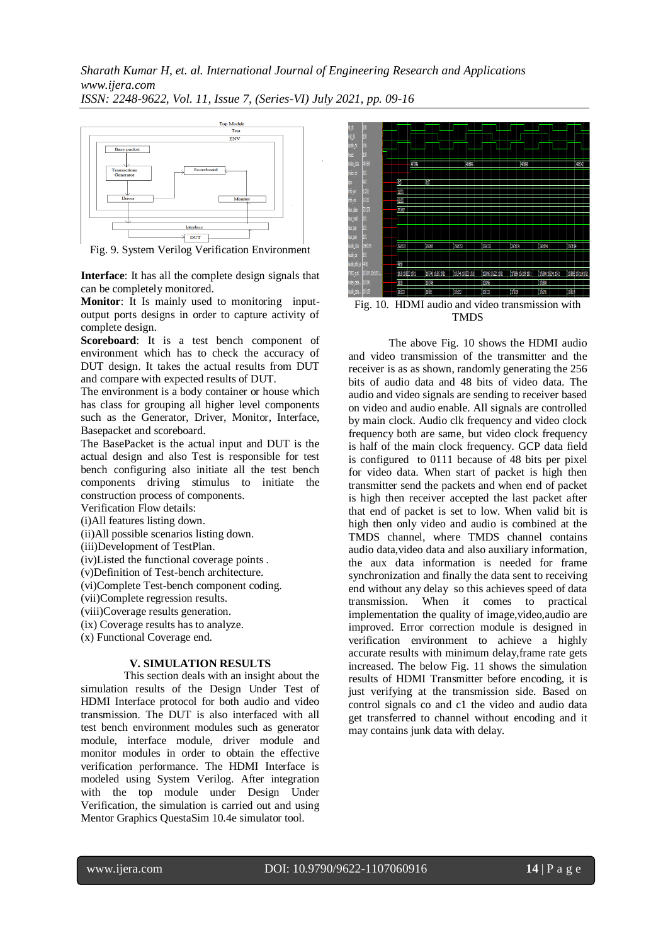

Fig. 9. System Verilog Verification Environment

**Interface**: It has all the complete design signals that can be completely monitored.

**Monitor**: It Is mainly used to monitoring inputoutput ports designs in order to capture activity of complete design.

**Scoreboard**: It is a test bench component of environment which has to check the accuracy of DUT design. It takes the actual results from DUT and compare with expected results of DUT.

The environment is a body container or house which has class for grouping all higher level components such as the Generator, Driver, Monitor, Interface, Basepacket and scoreboard.

The BasePacket is the actual input and DUT is the actual design and also Test is responsible for test bench configuring also initiate all the test bench components driving stimulus to initiate the construction process of components.

Verification Flow details:

(i)All features listing down.

(ii)All possible scenarios listing down.

(iii)Development of TestPlan.

(iv)Listed the functional coverage points .

(v)Definition of Test-bench architecture.

(vi)Complete Test-bench component coding.

(vii)Complete regression results.

(viii)Coverage results generation.

(ix) Coverage results has to analyze.

(x) Functional Coverage end.

#### **V. SIMULATION RESULTS**

 This section deals with an insight about the simulation results of the Design Under Test of HDMI Interface protocol for both audio and video transmission. The DUT is also interfaced with all test bench environment modules such as generator module, interface module, driver module and monitor modules in order to obtain the effective verification performance. The HDMI Interface is modeled using System Verilog. After integration with the top module under Design Under Verification, the simulation is carried out and using Mentor Graphics QuestaSim 10.4e simulator tool.



Fig. 10. HDMI audio and video transmission with TMDS

The above Fig. 10 shows the HDMI audio and video transmission of the transmitter and the receiver is as as shown, randomly generating the 256 bits of audio data and 48 bits of video data. The audio and video signals are sending to receiver based on video and audio enable. All signals are controlled by main clock. Audio clk frequency and video clock frequency both are same, but video clock frequency is half of the main clock frequency. GCP data field is configured to 0111 because of 48 bits per pixel for video data. When start of packet is high then transmitter send the packets and when end of packet is high then receiver accepted the last packet after that end of packet is set to low. When valid bit is high then only video and audio is combined at the TMDS channel, where TMDS channel contains audio data,video data and also auxiliary information, the aux data information is needed for frame synchronization and finally the data sent to receiving end without any delay so this achieves speed of data transmission. When it comes to practical implementation the quality of image,video,audio are improved. Error correction module is designed in verification environment to achieve a highly accurate results with minimum delay,frame rate gets increased. The below Fig. 11 shows the simulation results of HDMI Transmitter before encoding, it is just verifying at the transmission side. Based on control signals co and c1 the video and audio data get transferred to channel without encoding and it may contains junk data with delay.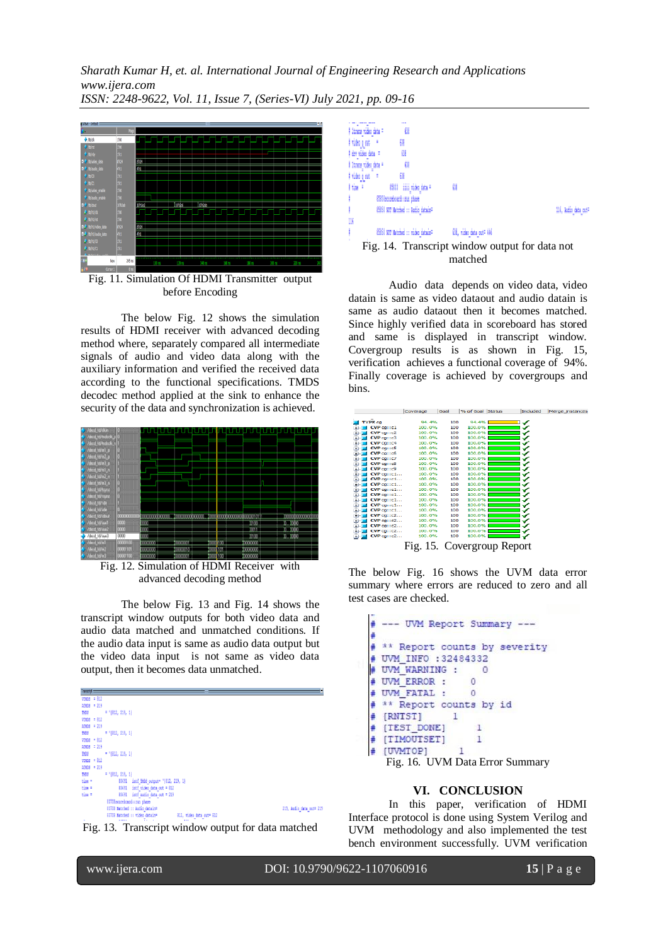*Sharath Kumar H, et. al. International Journal of Engineering Research and Applications www.ijera.com*

*ISSN: 2248-9622, Vol. 11, Issue 7, (Series-VI) July 2021, pp. 09-16*



Fig. 11. Simulation Of HDMI Transmitter output before Encoding

The below Fig. 12 shows the simulation results of HDMI receiver with advanced decoding method where, separately compared all intermediate signals of audio and video data along with the auxiliary information and verified the received data according to the functional specifications. TMDS decodec method applied at the sink to enhance the security of the data and synchronization is achieved.



Fig. 12. Simulation of HDMI Receiver with advanced decoding method

The below Fig. 13 and Fig. 14 shows the transcript window outputs for both video data and audio data matched and unmatched conditions. If the audio data input is same as audio data output but the video data input is not same as video data output, then it becomes data unmatched.





 $\{9\}$ # itrans video data = # video q out # 锁 # dry video data =  $\omega$  $\overline{a}$ # itrans\_video\_data = # video q out  $6\%$ I tim # 15133 iiii\_video\_data = ₩ 85850scoreboard: : run phase 85850 NOT Matched :: Audio\_datain= 116, Audio data out=  $^{\rm m}$ 85850 NOT Natched :: video datain= 638, video data out= 446 Fig. 14. Transcript window output for data not matched

Audio data depends on video data, video datain is same as video dataout and audio datain is same as audio dataout then it becomes matched. Since highly verified data in scoreboard has stored and same is displayed in transcript window. Covergroup results is as shown in Fig. 15, verification achieves a functional coverage of 94%. Finally coverage is achieved by covergroups and bins.



The below Fig. 16 shows the UVM data error summary where errors are reduced to zero and all test cases are checked.



#### **VI. CONCLUSION**

In this paper, verification of HDMI Interface protocol is done using System Verilog and UVM methodology and also implemented the test bench environment successfully. UVM verification

www.ijera.com DOI: 10.9790/9622-1107060916 **15** | P a g e